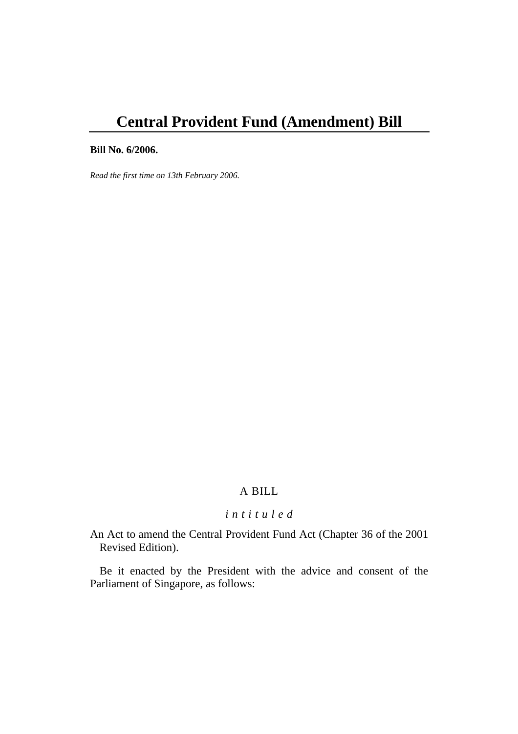# **Central Provident Fund (Amendment) Bill**

# **Bill No. 6/2006.**

*Read the first time on 13th February 2006.* 

# A BILL

# *i n t i t u l e d*

An Act to amend the Central Provident Fund Act (Chapter 36 of the 2001 Revised Edition).

Be it enacted by the President with the advice and consent of the Parliament of Singapore, as follows: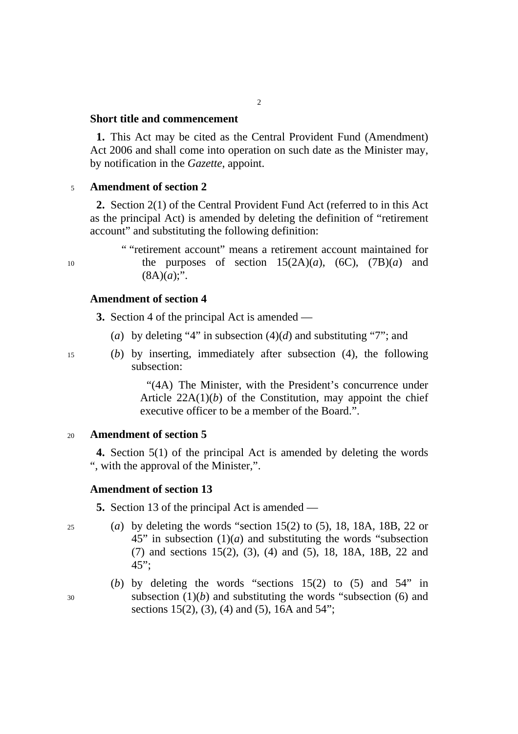### **Short title and commencement**

**1.** This Act may be cited as the Central Provident Fund (Amendment) Act 2006 and shall come into operation on such date as the Minister may, by notification in the *Gazette*, appoint.

 $\overline{2}$ 

# <sup>5</sup>**Amendment of section 2**

**2.** Section 2(1) of the Central Provident Fund Act (referred to in this Act as the principal Act) is amended by deleting the definition of "retirement account" and substituting the following definition:

" "retirement account" means a retirement account maintained for 10 the purposes of section 15(2A)(*a*), (6C), (7B)(*a*) and  $(8A)(a)$ ;".

# **Amendment of section 4**

**3.** Section 4 of the principal Act is amended —

- (*a*) by deleting "4" in subsection (4)(*d*) and substituting "7"; and
- 
- 15 (*b*) by inserting, immediately after subsection (4), the following subsection:

"(4A) The Minister, with the President's concurrence under Article  $22A(1)(b)$  of the Constitution, may appoint the chief executive officer to be a member of the Board.".

#### <sup>20</sup>**Amendment of section 5**

**4.** Section 5(1) of the principal Act is amended by deleting the words ", with the approval of the Minister,".

### **Amendment of section 13**

**5.** Section 13 of the principal Act is amended —

- 25 (*a*) by deleting the words "section 15(2) to (5), 18, 18A, 18B, 22 or  $45$ " in subsection  $(1)(a)$  and substituting the words "subsection" (7) and sections 15(2), (3), (4) and (5), 18, 18A, 18B, 22 and 45";
- (*b*) by deleting the words "sections 15(2) to (5) and 54" in 30 subsection (1)(*b*) and substituting the words "subsection (6) and sections 15(2), (3), (4) and (5), 16A and 54";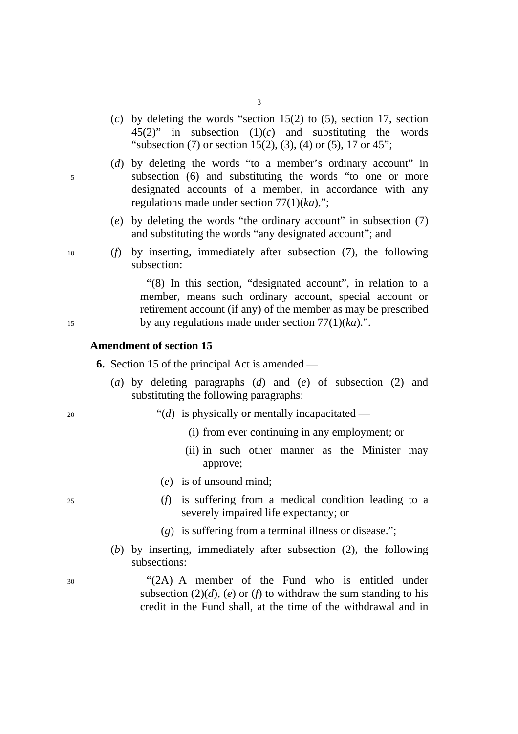- 3
- (*c*) by deleting the words "section 15(2) to (5), section 17, section 45(2)" in subsection (1)(*c*) and substituting the words "subsection (7) or section 15(2), (3), (4) or (5), 17 or 45";
- (*d*) by deleting the words "to a member's ordinary account" in 5 subsection (6) and substituting the words "to one or more designated accounts of a member, in accordance with any regulations made under section 77(1)(*ka*),";
	- (*e*) by deleting the words "the ordinary account" in subsection (7) and substituting the words "any designated account"; and
- 10 (*f*) by inserting, immediately after subsection (7), the following subsection:

"(8) In this section, "designated account", in relation to a member, means such ordinary account, special account or retirement account (if any) of the member as may be prescribed 15 by any regulations made under section 77(1)(*ka*).".

#### **Amendment of section 15**

**6.** Section 15 of the principal Act is amended —

- (*a*) by deleting paragraphs (*d*) and (*e*) of subsection (2) and substituting the following paragraphs:
- <sup>20</sup> <sup>"</sup>(*d*) is physically or mentally incapacitated
	- (i) from ever continuing in any employment; or
	- (ii) in such other manner as the Minister may approve;
	- (*e*) is of unsound mind;
- 25 (*f*) is suffering from a medical condition leading to a severely impaired life expectancy; or
	- (*g*) is suffering from a terminal illness or disease.";
	- (*b*) by inserting, immediately after subsection (2), the following subsections:

30 "(2A) A member of the Fund who is entitled under subsection  $(2)(d)$ ,  $(e)$  or  $(f)$  to withdraw the sum standing to his credit in the Fund shall, at the time of the withdrawal and in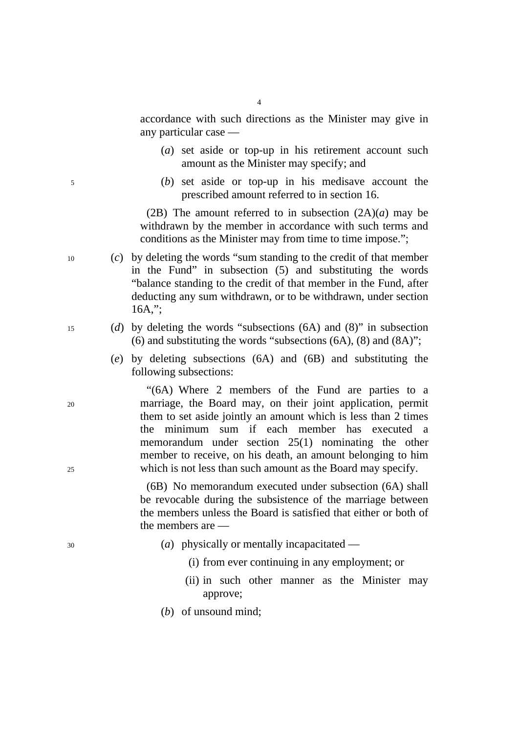accordance with such directions as the Minister may give in any particular case —

- (*a*) set aside or top-up in his retirement account such amount as the Minister may specify; and
- 5 (*b*) set aside or top-up in his medisave account the prescribed amount referred to in section 16.

(2B) The amount referred to in subsection  $(2A)(a)$  may be withdrawn by the member in accordance with such terms and conditions as the Minister may from time to time impose.";

- 10 (*c*) by deleting the words "sum standing to the credit of that member in the Fund" in subsection (5) and substituting the words "balance standing to the credit of that member in the Fund, after deducting any sum withdrawn, or to be withdrawn, under section 16A,";
- 15 (*d*) by deleting the words "subsections (6A) and (8)" in subsection (6) and substituting the words "subsections (6A), (8) and (8A)";
	- (*e*) by deleting subsections (6A) and (6B) and substituting the following subsections:

"(6A) Where 2 members of the Fund are parties to a 20 marriage, the Board may, on their joint application, permit them to set aside jointly an amount which is less than 2 times the minimum sum if each member has executed a memorandum under section 25(1) nominating the other member to receive, on his death, an amount belonging to him 25 which is not less than such amount as the Board may specify.

> (6B) No memorandum executed under subsection (6A) shall be revocable during the subsistence of the marriage between the members unless the Board is satisfied that either or both of the members are —

- 30 (*a*) physically or mentally incapacitated
	- (i) from ever continuing in any employment; or
	- (ii) in such other manner as the Minister may approve;
	- (*b*) of unsound mind;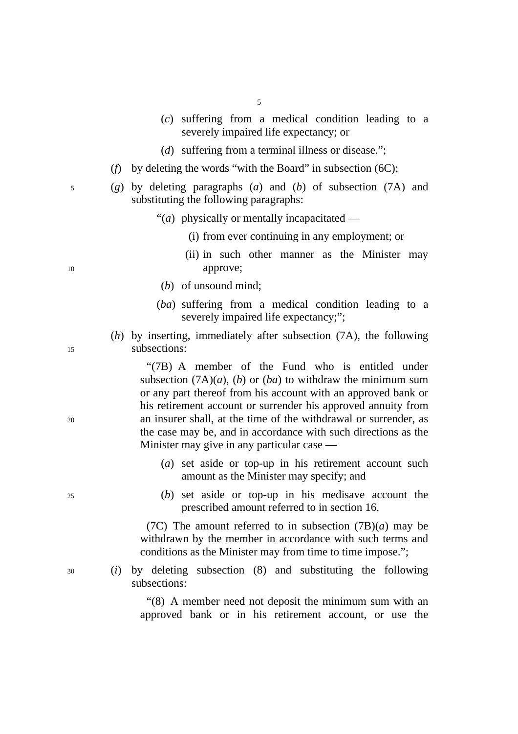- (*c*) suffering from a medical condition leading to a severely impaired life expectancy; or
- (*d*) suffering from a terminal illness or disease.";
- (*f*) by deleting the words "with the Board" in subsection (6C);
- 5 (*g*) by deleting paragraphs (*a*) and (*b*) of subsection (7A) and substituting the following paragraphs:

"(*a*) physically or mentally incapacitated —

- (i) from ever continuing in any employment; or
- (ii) in such other manner as the Minister may 10 approve;
	- (*b*) of unsound mind;
	- (*ba*) suffering from a medical condition leading to a severely impaired life expectancy;";
- (*h*) by inserting, immediately after subsection (7A), the following 15 subsections:

"(7B) A member of the Fund who is entitled under subsection  $(7A)(a)$ ,  $(b)$  or  $(ba)$  to withdraw the minimum sum or any part thereof from his account with an approved bank or his retirement account or surrender his approved annuity from 20 an insurer shall, at the time of the withdrawal or surrender, as the case may be, and in accordance with such directions as the Minister may give in any particular case —

- (*a*) set aside or top-up in his retirement account such amount as the Minister may specify; and
- 25 (*b*) set aside or top-up in his medisave account the prescribed amount referred to in section 16.

(7C) The amount referred to in subsection  $(TB)(a)$  may be withdrawn by the member in accordance with such terms and conditions as the Minister may from time to time impose.";

30 (*i*) by deleting subsection (8) and substituting the following subsections:

> "(8) A member need not deposit the minimum sum with an approved bank or in his retirement account, or use the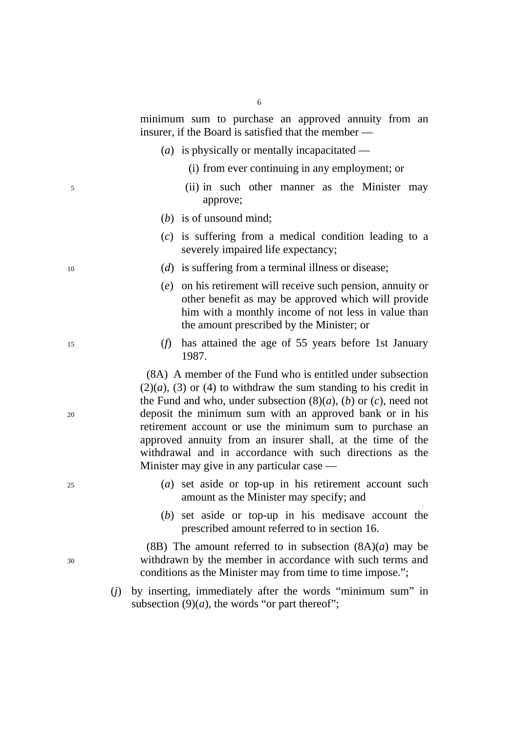minimum sum to purchase an approved annuity from an insurer, if the Board is satisfied that the member —

- (*a*) is physically or mentally incapacitated
	- (i) from ever continuing in any employment; or
- 5 (ii) in such other manner as the Minister may approve;
	- (*b*) is of unsound mind;
	- (*c*) is suffering from a medical condition leading to a severely impaired life expectancy;
- 10 (*d*) is suffering from a terminal illness or disease;
	- (*e*) on his retirement will receive such pension, annuity or other benefit as may be approved which will provide him with a monthly income of not less in value than the amount prescribed by the Minister; or
- 15 (*f*) has attained the age of 55 years before 1st January 1987.

(8A) A member of the Fund who is entitled under subsection  $(2)(a)$ ,  $(3)$  or  $(4)$  to withdraw the sum standing to his credit in the Fund and who, under subsection  $(8)(a)$ ,  $(b)$  or  $(c)$ , need not 20 deposit the minimum sum with an approved bank or in his retirement account or use the minimum sum to purchase an approved annuity from an insurer shall, at the time of the withdrawal and in accordance with such directions as the Minister may give in any particular case —

- 25 (*a*) set aside or top-up in his retirement account such amount as the Minister may specify; and
	- (*b*) set aside or top-up in his medisave account the prescribed amount referred to in section 16.

(8B) The amount referred to in subsection  $(8A)(a)$  may be 30 withdrawn by the member in accordance with such terms and conditions as the Minister may from time to time impose.";

> (*j*) by inserting, immediately after the words "minimum sum" in subsection  $(9)(a)$ , the words "or part thereof";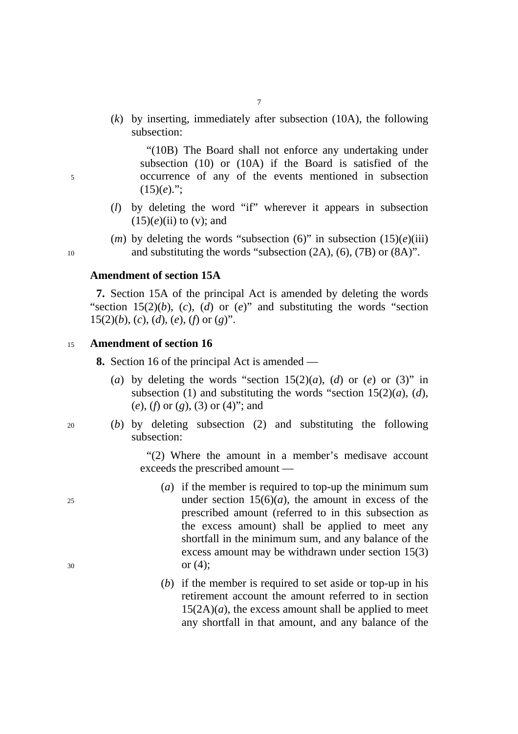(*k*) by inserting, immediately after subsection (10A), the following subsection:

"(10B) The Board shall not enforce any undertaking under subsection (10) or (10A) if the Board is satisfied of the 5 occurrence of any of the events mentioned in subsection  $(15)(e)$ .":

- (*l*) by deleting the word "if" wherever it appears in subsection  $(15)(e)$ (ii) to (v); and
- (*m*) by deleting the words "subsection (6)" in subsection  $(15)(e)(iii)$ 10 and substituting the words "subsection (2A), (6), (7B) or (8A)".

**Amendment of section 15A** 

**7.** Section 15A of the principal Act is amended by deleting the words "section 15(2)(*b*), (*c*), (*d*) or (*e*)" and substituting the words "section 15(2)(*b*), (*c*), (*d*), (*e*), (*f*) or (*g*)".

#### <sup>15</sup>**Amendment of section 16**

**8.** Section 16 of the principal Act is amended —

- (*a*) by deleting the words "section  $15(2)(a)$ , (*d*) or (*e*) or (3)" in subsection (1) and substituting the words "section 15(2)(*a*), (*d*), (*e*), (*f*) or (*g*), (3) or (4)"; and
- 
- 20 (*b*) by deleting subsection (2) and substituting the following subsection:

"(2) Where the amount in a member's medisave account exceeds the prescribed amount —

- (*a*) if the member is required to top-up the minimum sum 25 under section  $15(6)(a)$ , the amount in excess of the prescribed amount (referred to in this subsection as the excess amount) shall be applied to meet any shortfall in the minimum sum, and any balance of the excess amount may be withdrawn under section 15(3)  $30 \text{ or } (4);$ 
	- (*b*) if the member is required to set aside or top-up in his retirement account the amount referred to in section  $15(2A)(a)$ , the excess amount shall be applied to meet any shortfall in that amount, and any balance of the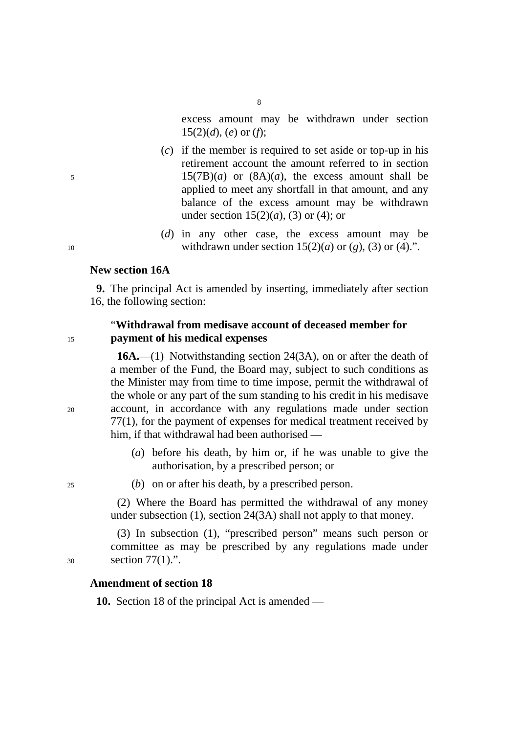excess amount may be withdrawn under section 15(2)(*d*), (*e*) or (*f*);

- (*c*) if the member is required to set aside or top-up in his retirement account the amount referred to in section  $15(7B)(a)$  or  $(8A)(a)$ , the excess amount shall be applied to meet any shortfall in that amount, and any balance of the excess amount may be withdrawn under section 15(2)(*a*), (3) or (4); or
- (*d*) in any other case, the excess amount may be 10 withdrawn under section  $15(2)(a)$  or  $(g)$ ,  $(3)$  or  $(4)$ .".

#### **New section 16A**

**9.** The principal Act is amended by inserting, immediately after section 16, the following section:

# "**Withdrawal from medisave account of deceased member for**  <sup>15</sup>**payment of his medical expenses**

**16A.**—(1) Notwithstanding section 24(3A), on or after the death of a member of the Fund, the Board may, subject to such conditions as the Minister may from time to time impose, permit the withdrawal of the whole or any part of the sum standing to his credit in his medisave 20 account, in accordance with any regulations made under section 77(1), for the payment of expenses for medical treatment received by him, if that withdrawal had been authorised —

- (*a*) before his death, by him or, if he was unable to give the authorisation, by a prescribed person; or
- 25 (*b*) on or after his death, by a prescribed person.

(2) Where the Board has permitted the withdrawal of any money under subsection (1), section 24(3A) shall not apply to that money.

(3) In subsection (1), "prescribed person" means such person or committee as may be prescribed by any regulations made under 30 section 77(1).".

# **Amendment of section 18**

**10.** Section 18 of the principal Act is amended —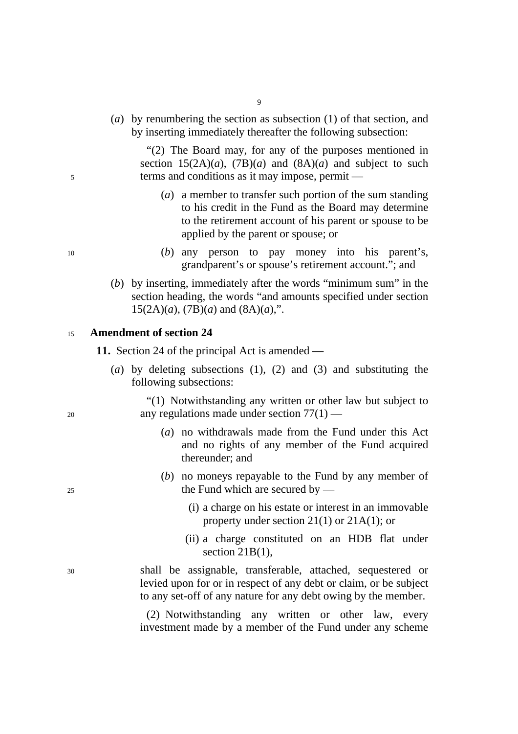(*a*) by renumbering the section as subsection (1) of that section, and by inserting immediately thereafter the following subsection:

"(2) The Board may, for any of the purposes mentioned in section  $15(2A)(a)$ ,  $(7B)(a)$  and  $(8A)(a)$  and subject to such 5 terms and conditions as it may impose, permit —

- (*a*) a member to transfer such portion of the sum standing to his credit in the Fund as the Board may determine to the retirement account of his parent or spouse to be applied by the parent or spouse; or
- 10 (*b*) any person to pay money into his parent's, grandparent's or spouse's retirement account."; and
	- (*b*) by inserting, immediately after the words "minimum sum" in the section heading, the words "and amounts specified under section  $15(2A)(a)$ ,  $(7B)(a)$  and  $(8A)(a)$ ,".

#### <sup>15</sup>**Amendment of section 24**

**11.** Section 24 of the principal Act is amended —

(*a*) by deleting subsections (1), (2) and (3) and substituting the following subsections:

"(1) Notwithstanding any written or other law but subject to 20 any regulations made under section 77(1) —

- (*a*) no withdrawals made from the Fund under this Act and no rights of any member of the Fund acquired thereunder; and
- (*b*) no moneys repayable to the Fund by any member of 25 the Fund which are secured by —
	- (i) a charge on his estate or interest in an immovable property under section 21(1) or 21A(1); or
	- (ii) a charge constituted on an HDB flat under section 21B(1),

30 shall be assignable, transferable, attached, sequestered or levied upon for or in respect of any debt or claim, or be subject to any set-off of any nature for any debt owing by the member.

> (2) Notwithstanding any written or other law, every investment made by a member of the Fund under any scheme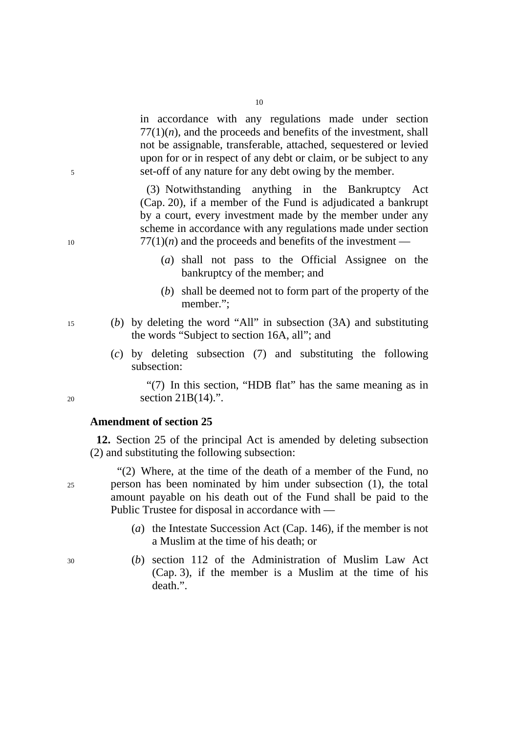in accordance with any regulations made under section  $77(1)(n)$ , and the proceeds and benefits of the investment, shall not be assignable, transferable, attached, sequestered or levied upon for or in respect of any debt or claim, or be subject to any 5 set-off of any nature for any debt owing by the member.

(3) Notwithstanding anything in the Bankruptcy Act (Cap. 20), if a member of the Fund is adjudicated a bankrupt by a court, every investment made by the member under any scheme in accordance with any regulations made under section  $10 \t\t 77(1)(n)$  and the proceeds and benefits of the investment —

- (*a*) shall not pass to the Official Assignee on the bankruptcy of the member; and
- (*b*) shall be deemed not to form part of the property of the member.";
- 15 (*b*) by deleting the word "All" in subsection (3A) and substituting the words "Subject to section 16A, all"; and
	- (*c*) by deleting subsection (7) and substituting the following subsection:

"(7) In this section, "HDB flat" has the same meaning as in 20 section 21B(14).".

### **Amendment of section 25**

**12.** Section 25 of the principal Act is amended by deleting subsection (2) and substituting the following subsection:

"(2) Where, at the time of the death of a member of the Fund, no 25 person has been nominated by him under subsection (1), the total amount payable on his death out of the Fund shall be paid to the Public Trustee for disposal in accordance with —

- (*a*) the Intestate Succession Act (Cap. 146), if the member is not a Muslim at the time of his death; or
- 30 (*b*) section 112 of the Administration of Muslim Law Act (Cap. 3), if the member is a Muslim at the time of his death.".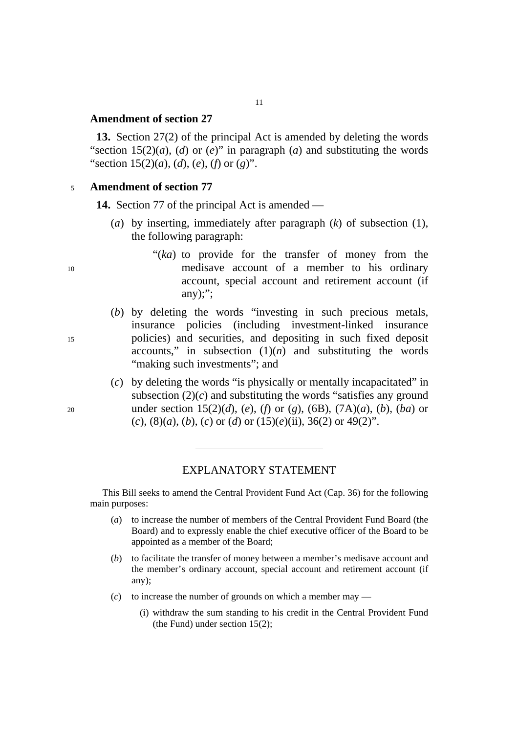#### **Amendment of section 27**

**13.** Section 27(2) of the principal Act is amended by deleting the words "section  $15(2)(a)$ , (*d*) or (*e*)" in paragraph (*a*) and substituting the words "section 15(2)(*a*), (*d*), (*e*), (*f*) or (*g*)".

11

#### <sup>5</sup>**Amendment of section 77**

**14.** Section 77 of the principal Act is amended —

- (*a*) by inserting, immediately after paragraph (*k*) of subsection (1), the following paragraph:
- "(*ka*) to provide for the transfer of money from the 10 medisave account of a member to his ordinary account, special account and retirement account (if any $)$ :":
- (*b*) by deleting the words "investing in such precious metals, insurance policies (including investment-linked insurance 15 policies) and securities, and depositing in such fixed deposit accounts," in subsection  $(1)(n)$  and substituting the words "making such investments"; and
- (*c*) by deleting the words "is physically or mentally incapacitated" in subsection  $(2)(c)$  and substituting the words "satisfies any ground" 20 under section 15(2)(*d*), (*e*), (*f*) or (*g*), (6B), (7A)(*a*), (*b*), (*ba*) or (*c*), (8)(*a*), (*b*), (*c*) or (*d*) or (15)(*e*)(ii), 36(2) or 49(2)".

#### EXPLANATORY STATEMENT

This Bill seeks to amend the Central Provident Fund Act (Cap. 36) for the following main purposes:

- (*a*) to increase the number of members of the Central Provident Fund Board (the Board) and to expressly enable the chief executive officer of the Board to be appointed as a member of the Board;
- (*b*) to facilitate the transfer of money between a member's medisave account and the member's ordinary account, special account and retirement account (if any);
- (*c*) to increase the number of grounds on which a member may
	- (i) withdraw the sum standing to his credit in the Central Provident Fund (the Fund) under section 15(2);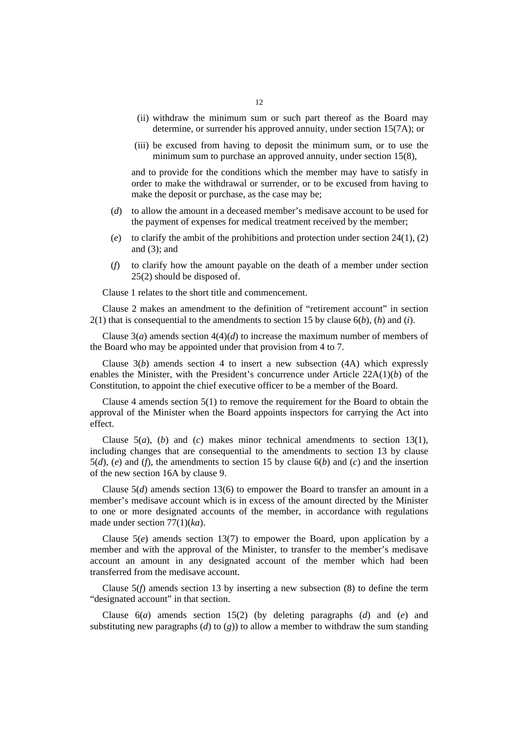- (ii) withdraw the minimum sum or such part thereof as the Board may determine, or surrender his approved annuity, under section 15(7A); or
- (iii) be excused from having to deposit the minimum sum, or to use the minimum sum to purchase an approved annuity, under section 15(8),

and to provide for the conditions which the member may have to satisfy in order to make the withdrawal or surrender, or to be excused from having to make the deposit or purchase, as the case may be;

- (*d*) to allow the amount in a deceased member's medisave account to be used for the payment of expenses for medical treatment received by the member;
- (*e*) to clarify the ambit of the prohibitions and protection under section 24(1), (2) and (3); and
- (*f*) to clarify how the amount payable on the death of a member under section 25(2) should be disposed of.

Clause 1 relates to the short title and commencement.

Clause 2 makes an amendment to the definition of "retirement account" in section 2(1) that is consequential to the amendments to section 15 by clause 6(*b*), (*h*) and (*i*).

Clause  $3(a)$  amends section  $4(4)(d)$  to increase the maximum number of members of the Board who may be appointed under that provision from 4 to 7.

Clause 3(*b*) amends section 4 to insert a new subsection (4A) which expressly enables the Minister, with the President's concurrence under Article 22A(1)(*b*) of the Constitution, to appoint the chief executive officer to be a member of the Board.

Clause 4 amends section 5(1) to remove the requirement for the Board to obtain the approval of the Minister when the Board appoints inspectors for carrying the Act into effect.

Clause 5(*a*), (*b*) and (*c*) makes minor technical amendments to section 13(1), including changes that are consequential to the amendments to section 13 by clause 5(*d*), (*e*) and (*f*), the amendments to section 15 by clause 6(*b*) and (*c*) and the insertion of the new section 16A by clause 9.

Clause  $5(d)$  amends section 13(6) to empower the Board to transfer an amount in a member's medisave account which is in excess of the amount directed by the Minister to one or more designated accounts of the member, in accordance with regulations made under section 77(1)(*ka*).

Clause  $5(e)$  amends section 13(7) to empower the Board, upon application by a member and with the approval of the Minister, to transfer to the member's medisave account an amount in any designated account of the member which had been transferred from the medisave account.

Clause  $5(f)$  amends section 13 by inserting a new subsection  $(8)$  to define the term "designated account" in that section.

Clause 6(*a*) amends section 15(2) (by deleting paragraphs (*d*) and (*e*) and substituting new paragraphs  $(d)$  to  $(g)$ ) to allow a member to withdraw the sum standing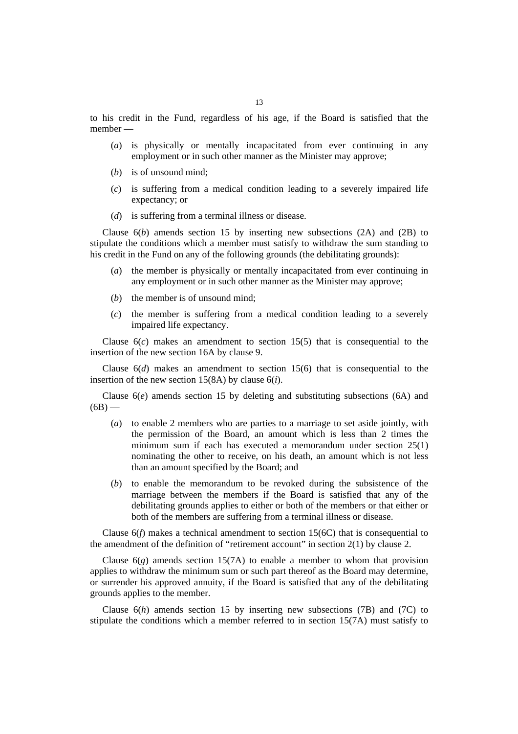to his credit in the Fund, regardless of his age, if the Board is satisfied that the member —

- (*a*) is physically or mentally incapacitated from ever continuing in any employment or in such other manner as the Minister may approve;
- (*b*) is of unsound mind;
- (*c*) is suffering from a medical condition leading to a severely impaired life expectancy; or
- (*d*) is suffering from a terminal illness or disease.

Clause  $6(b)$  amends section 15 by inserting new subsections  $(2A)$  and  $(2B)$  to stipulate the conditions which a member must satisfy to withdraw the sum standing to his credit in the Fund on any of the following grounds (the debilitating grounds):

- (*a*) the member is physically or mentally incapacitated from ever continuing in any employment or in such other manner as the Minister may approve;
- (*b*) the member is of unsound mind;
- (*c*) the member is suffering from a medical condition leading to a severely impaired life expectancy.

Clause  $6(c)$  makes an amendment to section 15(5) that is consequential to the insertion of the new section 16A by clause 9.

Clause 6(*d*) makes an amendment to section 15(6) that is consequential to the insertion of the new section 15(8A) by clause 6(*i*).

Clause  $6(e)$  amends section 15 by deleting and substituting subsections  $(6A)$  and  $(6B)$  —

- (*a*) to enable 2 members who are parties to a marriage to set aside jointly, with the permission of the Board, an amount which is less than 2 times the minimum sum if each has executed a memorandum under section 25(1) nominating the other to receive, on his death, an amount which is not less than an amount specified by the Board; and
- (*b*) to enable the memorandum to be revoked during the subsistence of the marriage between the members if the Board is satisfied that any of the debilitating grounds applies to either or both of the members or that either or both of the members are suffering from a terminal illness or disease.

Clause 6(*f*) makes a technical amendment to section 15(6C) that is consequential to the amendment of the definition of "retirement account" in section 2(1) by clause 2.

Clause  $6(g)$  amends section 15(7A) to enable a member to whom that provision applies to withdraw the minimum sum or such part thereof as the Board may determine, or surrender his approved annuity, if the Board is satisfied that any of the debilitating grounds applies to the member.

Clause  $6(h)$  amends section 15 by inserting new subsections (7B) and (7C) to stipulate the conditions which a member referred to in section 15(7A) must satisfy to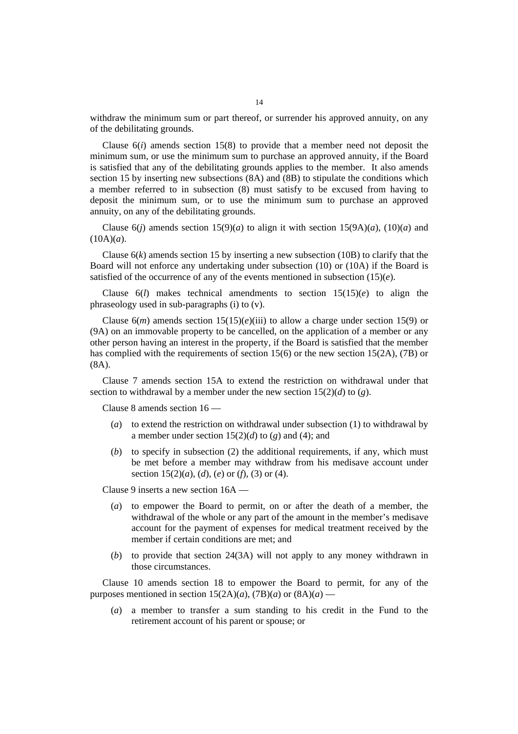withdraw the minimum sum or part thereof, or surrender his approved annuity, on any of the debilitating grounds.

Clause  $6(i)$  amends section 15(8) to provide that a member need not deposit the minimum sum, or use the minimum sum to purchase an approved annuity, if the Board is satisfied that any of the debilitating grounds applies to the member. It also amends section 15 by inserting new subsections (8A) and (8B) to stipulate the conditions which a member referred to in subsection (8) must satisfy to be excused from having to deposit the minimum sum, or to use the minimum sum to purchase an approved annuity, on any of the debilitating grounds.

Clause  $6(i)$  amends section  $15(9)(a)$  to align it with section  $15(9A)(a)$ ,  $(10)(a)$  and  $(10A)(a)$ .

Clause  $6(k)$  amends section 15 by inserting a new subsection (10B) to clarify that the Board will not enforce any undertaking under subsection (10) or (10A) if the Board is satisfied of the occurrence of any of the events mentioned in subsection  $(15)(e)$ .

Clause  $6(l)$  makes technical amendments to section  $15(15)(e)$  to align the phraseology used in sub-paragraphs (i) to (v).

Clause  $6(m)$  amends section  $15(15)(e)(iii)$  to allow a charge under section 15(9) or (9A) on an immovable property to be cancelled, on the application of a member or any other person having an interest in the property, if the Board is satisfied that the member has complied with the requirements of section 15(6) or the new section 15(2A), (7B) or (8A).

Clause 7 amends section 15A to extend the restriction on withdrawal under that section to withdrawal by a member under the new section 15(2)(*d*) to (*g*).

Clause 8 amends section 16 —

- (*a*) to extend the restriction on withdrawal under subsection (1) to withdrawal by a member under section  $15(2)(d)$  to  $(g)$  and  $(4)$ ; and
- (*b*) to specify in subsection (2) the additional requirements, if any, which must be met before a member may withdraw from his medisave account under section 15(2)(*a*), (*d*), (*e*) or (*f*), (3) or (4).

Clause 9 inserts a new section 16A —

- (*a*) to empower the Board to permit, on or after the death of a member, the withdrawal of the whole or any part of the amount in the member's medisave account for the payment of expenses for medical treatment received by the member if certain conditions are met; and
- (*b*) to provide that section 24(3A) will not apply to any money withdrawn in those circumstances.

Clause 10 amends section 18 to empower the Board to permit, for any of the purposes mentioned in section  $15(2A)(a)$ ,  $(7B)(a)$  or  $(8A)(a)$  —

(*a*) a member to transfer a sum standing to his credit in the Fund to the retirement account of his parent or spouse; or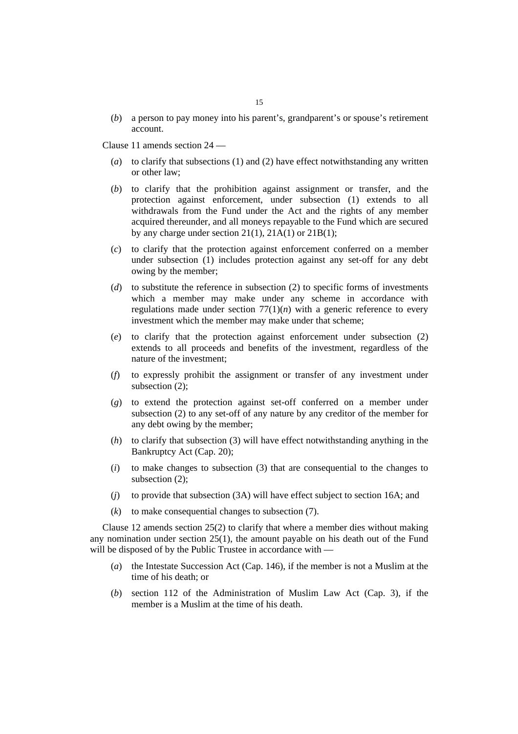(*b*) a person to pay money into his parent's, grandparent's or spouse's retirement account.

Clause 11 amends section 24 —

- (*a*) to clarify that subsections (1) and (2) have effect notwithstanding any written or other law;
- (*b*) to clarify that the prohibition against assignment or transfer, and the protection against enforcement, under subsection (1) extends to all withdrawals from the Fund under the Act and the rights of any member acquired thereunder, and all moneys repayable to the Fund which are secured by any charge under section 21(1), 21A(1) or 21B(1);
- (*c*) to clarify that the protection against enforcement conferred on a member under subsection (1) includes protection against any set-off for any debt owing by the member;
- (*d*) to substitute the reference in subsection (2) to specific forms of investments which a member may make under any scheme in accordance with regulations made under section  $77(1)(n)$  with a generic reference to every investment which the member may make under that scheme;
- (*e*) to clarify that the protection against enforcement under subsection (2) extends to all proceeds and benefits of the investment, regardless of the nature of the investment;
- (*f*) to expressly prohibit the assignment or transfer of any investment under subsection (2);
- (*g*) to extend the protection against set-off conferred on a member under subsection (2) to any set-off of any nature by any creditor of the member for any debt owing by the member;
- (*h*) to clarify that subsection (3) will have effect notwithstanding anything in the Bankruptcy Act (Cap. 20);
- (*i*) to make changes to subsection (3) that are consequential to the changes to subsection (2);
- (*j*) to provide that subsection (3A) will have effect subject to section 16A; and
- (*k*) to make consequential changes to subsection (7).

Clause 12 amends section 25(2) to clarify that where a member dies without making any nomination under section 25(1), the amount payable on his death out of the Fund will be disposed of by the Public Trustee in accordance with —

- (*a*) the Intestate Succession Act (Cap. 146), if the member is not a Muslim at the time of his death; or
- (*b*) section 112 of the Administration of Muslim Law Act (Cap. 3), if the member is a Muslim at the time of his death.